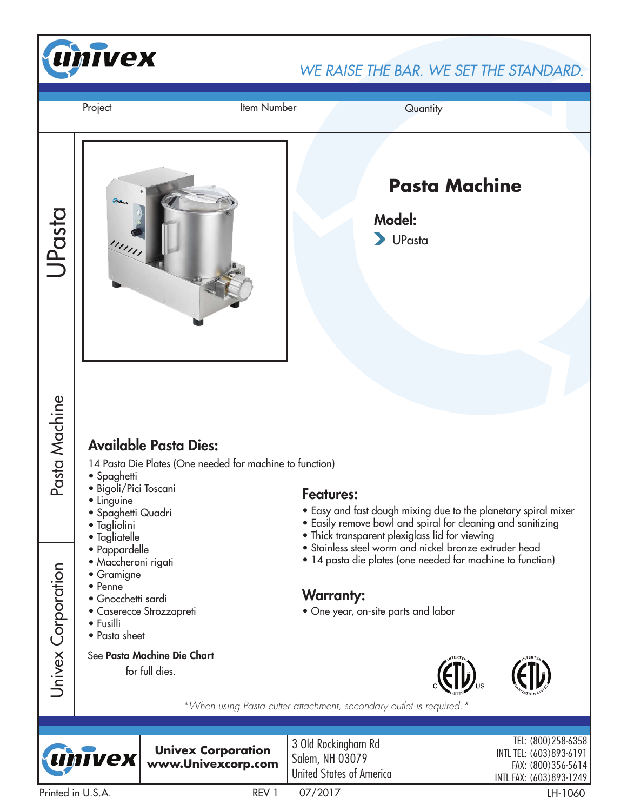

**TVex** 

**Univex Corporation www.Univexcorp.com** 3 Old Rockingham Rd Salem, NH 03079 United States of America

TEL: (800)258-6358 INTL TEL: (603)893-6191 FAX: (800)356-5614 INTL FAX: (603)893-1249